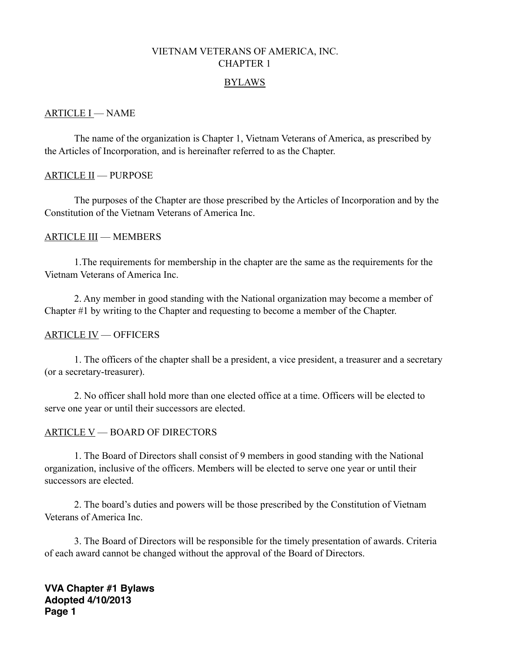# VIETNAM VETERANS OF AMERICA, INC. CHAPTER 1

#### BYLAWS

#### ARTICLE I — NAME

 The name of the organization is Chapter 1, Vietnam Veterans of America, as prescribed by the Articles of Incorporation, and is hereinafter referred to as the Chapter.

#### ARTICLE II — PURPOSE

 The purposes of the Chapter are those prescribed by the Articles of Incorporation and by the Constitution of the Vietnam Veterans of America Inc.

#### ARTICLE III — MEMBERS

 1.The requirements for membership in the chapter are the same as the requirements for the Vietnam Veterans of America Inc.

 2. Any member in good standing with the National organization may become a member of Chapter #1 by writing to the Chapter and requesting to become a member of the Chapter.

# ARTICLE IV — OFFICERS

 1. The officers of the chapter shall be a president, a vice president, a treasurer and a secretary (or a secretary-treasurer).

 2. No officer shall hold more than one elected office at a time. Officers will be elected to serve one year or until their successors are elected.

# ARTICLE V — BOARD OF DIRECTORS

 1. The Board of Directors shall consist of 9 members in good standing with the National organization, inclusive of the officers. Members will be elected to serve one year or until their successors are elected.

 2. The board's duties and powers will be those prescribed by the Constitution of Vietnam Veterans of America Inc.

 3. The Board of Directors will be responsible for the timely presentation of awards. Criteria of each award cannot be changed without the approval of the Board of Directors.

**VVA Chapter #1 Bylaws Adopted 4/10/2013 Page 1**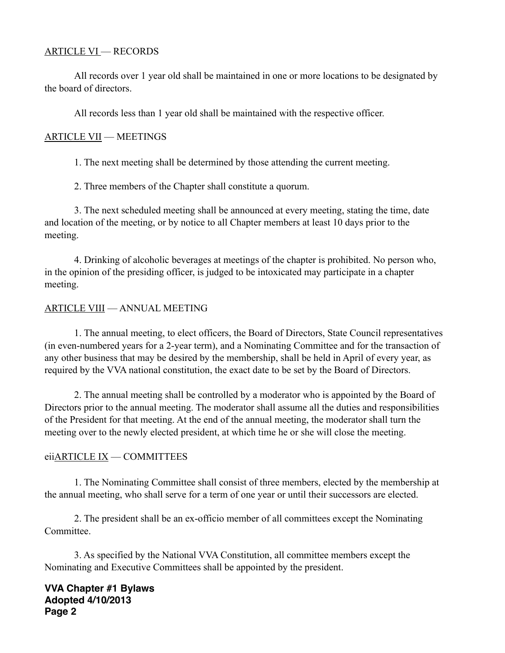# ARTICLE VI — RECORDS

 All records over 1 year old shall be maintained in one or more locations to be designated by the board of directors.

All records less than 1 year old shall be maintained with the respective officer.

# ARTICLE VII — MEETINGS

1. The next meeting shall be determined by those attending the current meeting.

2. Three members of the Chapter shall constitute a quorum.

 3. The next scheduled meeting shall be announced at every meeting, stating the time, date and location of the meeting, or by notice to all Chapter members at least 10 days prior to the meeting.

 4. Drinking of alcoholic beverages at meetings of the chapter is prohibited. No person who, in the opinion of the presiding officer, is judged to be intoxicated may participate in a chapter meeting.

# ARTICLE VIII — ANNUAL MEETING

 1. The annual meeting, to elect officers, the Board of Directors, State Council representatives (in even-numbered years for a 2-year term), and a Nominating Committee and for the transaction of any other business that may be desired by the membership, shall be held in April of every year, as required by the VVA national constitution, the exact date to be set by the Board of Directors.

 2. The annual meeting shall be controlled by a moderator who is appointed by the Board of Directors prior to the annual meeting. The moderator shall assume all the duties and responsibilities of the President for that meeting. At the end of the annual meeting, the moderator shall turn the meeting over to the newly elected president, at which time he or she will close the meeting.

# eiiARTICLE IX — COMMITTEES

 1. The Nominating Committee shall consist of three members, elected by the membership at the annual meeting, who shall serve for a term of one year or until their successors are elected.

 2. The president shall be an ex-officio member of all committees except the Nominating Committee.

 3. As specified by the National VVA Constitution, all committee members except the Nominating and Executive Committees shall be appointed by the president.

**VVA Chapter #1 Bylaws Adopted 4/10/2013 Page 2**